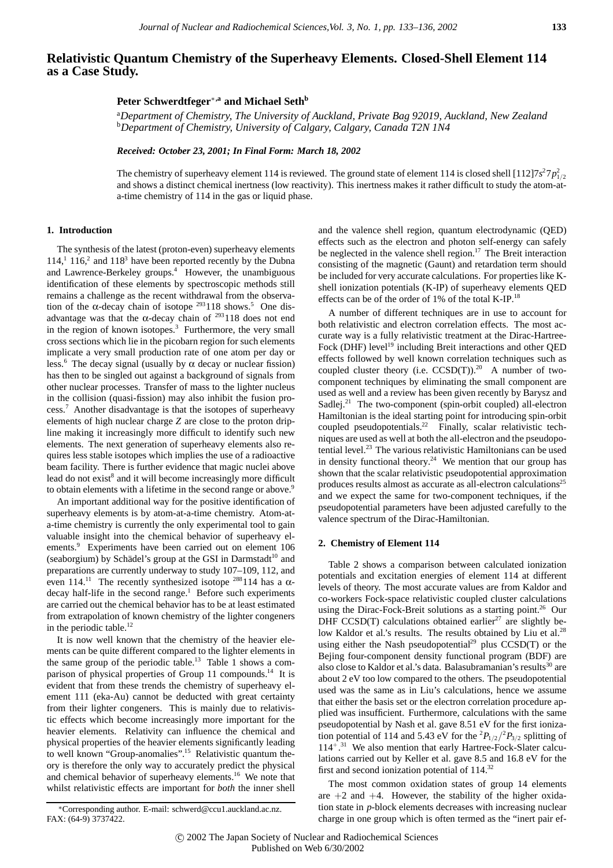# **Relativistic Quantum Chemistry of the Superheavy Elements. Closed-Shell Element 114 as a Case Study.**

## **Peter Schwerdtfeger**∗**,a and Michael Sethb**

a *Department of Chemistry, The University of Auckland, Private Bag 92019, Auckland, New Zealand* b *Department of Chemistry, University of Calgary, Calgary, Canada T2N 1N4*

*Received: October 23, 2001; In Final Form: March 18, 2002*

The chemistry of superheavy element 114 is reviewed. The ground state of element 114 is closed shell  $[112]7s^27p_{1/2}^2$ and shows a distinct chemical inertness (low reactivity). This inertness makes it rather difficult to study the atom-ata-time chemistry of 114 in the gas or liquid phase.

## **1. Introduction**

The synthesis of the latest (proton-even) superheavy elements  $114$ ,<sup>1</sup>  $116$ ,<sup>2</sup> and  $118$ <sup>3</sup> have been reported recently by the Dubna and Lawrence-Berkeley groups.<sup>4</sup> However, the unambiguous identification of these elements by spectroscopic methods still remains a challenge as the recent withdrawal from the observation of the  $\alpha$ -decay chain of isotope  $293118$  shows.<sup>5</sup> One disadvantage was that the  $\alpha$ -decay chain of <sup>293</sup>118 does not end in the region of known isotopes.<sup>3</sup> Furthermore, the very small cross sections which lie in the picobarn region for such elements implicate a very small production rate of one atom per day or less.<sup>6</sup> The decay signal (usually by  $\alpha$  decay or nuclear fission) has then to be singled out against a background of signals from other nuclear processes. Transfer of mass to the lighter nucleus in the collision (quasi-fission) may also inhibit the fusion process.<sup>7</sup> Another disadvantage is that the isotopes of superheavy elements of high nuclear charge *Z* are close to the proton dripline making it increasingly more difficult to identify such new elements. The next generation of superheavy elements also requires less stable isotopes which implies the use of a radioactive beam facility. There is further evidence that magic nuclei above lead do not exist<sup>8</sup> and it will become increasingly more difficult to obtain elements with a lifetime in the second range or above.<sup>9</sup>

An important additional way for the positive identification of superheavy elements is by atom-at-a-time chemistry. Atom-ata-time chemistry is currently the only experimental tool to gain valuable insight into the chemical behavior of superheavy elements.<sup>9</sup> Experiments have been carried out on element 106 (seaborgium) by Schädel's group at the GSI in Darmstadt<sup>10</sup> and preparations are currently underway to study 107–109, 112, and even 114.<sup>11</sup> The recently synthesized isotope <sup>288</sup>114 has a  $\alpha$  $decay$  half-life in the second range.<sup>1</sup> Before such experiments are carried out the chemical behavior has to be at least estimated from extrapolation of known chemistry of the lighter congeners in the periodic table. $^{12}$ 

It is now well known that the chemistry of the heavier elements can be quite different compared to the lighter elements in the same group of the periodic table.<sup>13</sup> Table 1 shows a comparison of physical properties of Group 11 compounds.<sup>14</sup> It is evident that from these trends the chemistry of superheavy element 111 (eka-Au) cannot be deducted with great certainty from their lighter congeners. This is mainly due to relativistic effects which become increasingly more important for the heavier elements. Relativity can influence the chemical and physical properties of the heavier elements significantly leading to well known "Group-anomalies".<sup>15</sup> Relativistic quantum theory is therefore the only way to accurately predict the physical and chemical behavior of superheavy elements.<sup>16</sup> We note that whilst relativistic effects are important for *both* the inner shell

and the valence shell region, quantum electrodynamic (QED) effects such as the electron and photon self-energy can safely be neglected in the valence shell region.<sup>17</sup> The Breit interaction consisting of the magnetic (Gaunt) and retardation term should be included for very accurate calculations. For properties like Kshell ionization potentials (K-IP) of superheavy elements QED effects can be of the order of 1% of the total K-IP.<sup>18</sup>

A number of different techniques are in use to account for both relativistic and electron correlation effects. The most accurate way is a fully relativistic treatment at the Dirac-Hartree-Fock (DHF) level<sup>19</sup> including Breit interactions and other QED effects followed by well known correlation techniques such as coupled cluster theory (i.e.  $CCSD(T)$ ).<sup>20</sup> A number of twocomponent techniques by eliminating the small component are used as well and a review has been given recently by Barysz and Sadlej.<sup>21</sup> The two-component (spin-orbit coupled) all-electron Hamiltonian is the ideal starting point for introducing spin-orbit coupled pseudopotentials.<sup>22</sup> Finally, scalar relativistic techniques are used as well at both the all-electron and the pseudopotential level.<sup>23</sup> The various relativistic Hamiltonians can be used in density functional theory.<sup>24</sup> We mention that our group has shown that the scalar relativistic pseudopotential approximation produces results almost as accurate as all-electron calculations<sup>25</sup> and we expect the same for two-component techniques, if the pseudopotential parameters have been adjusted carefully to the valence spectrum of the Dirac-Hamiltonian.

#### **2. Chemistry of Element 114**

Table 2 shows a comparison between calculated ionization potentials and excitation energies of element 114 at different levels of theory. The most accurate values are from Kaldor and co-workers Fock-space relativistic coupled cluster calculations using the Dirac-Fock-Breit solutions as a starting point.<sup>26</sup> Our DHF CCSD(T) calculations obtained earlier<sup>27</sup> are slightly below Kaldor et al.'s results. The results obtained by Liu et al.<sup>28</sup> using either the Nash pseudopotential<sup>29</sup> plus  $CCSD(T)$  or the Bejing four-component density functional program (BDF) are also close to Kaldor et al.'s data. Balasubramanian's results<sup>30</sup> are about 2 eV too low compared to the others. The pseudopotential used was the same as in Liu's calculations, hence we assume that either the basis set or the electron correlation procedure applied was insufficient. Furthermore, calculations with the same pseudopotential by Nash et al. gave 8.51 eV for the first ionization potential of 114 and 5.43 eV for the  ${}^{2}P_{1/2}/{}^{2}P_{3/2}$  splitting of 114<sup>+</sup>. <sup>31</sup> We also mention that early Hartree-Fock-Slater calculations carried out by Keller et al. gave 8.5 and 16.8 eV for the first and second ionization potential of  $114$ <sup>32</sup>

The most common oxidation states of group 14 elements are  $+2$  and  $+4$ . However, the stability of the higher oxidation state in *p*-block elements decreases with increasing nuclear charge in one group which is often termed as the "inert pair ef-

<sup>∗</sup>Corresponding author. E-mail: schwerd@ccu1.auckland.ac.nz. FAX: (64-9) 3737422.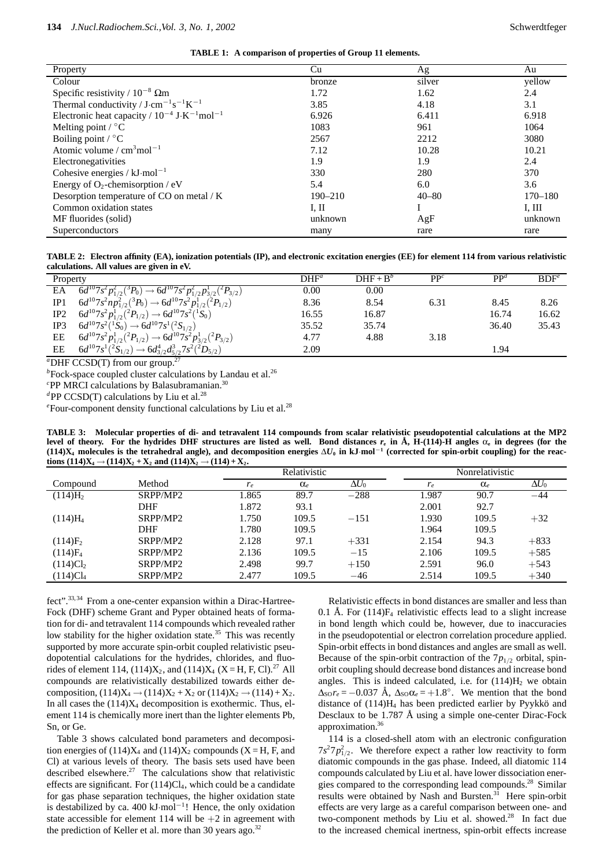**TABLE 1: A comparison of properties of Group 11 elements.**

| Property                                                                 | Cu          | Ag        | Au          |
|--------------------------------------------------------------------------|-------------|-----------|-------------|
| Colour                                                                   | bronze      | silver    | yellow      |
| Specific resistivity / $10^{-8}$ $\Omega$ m                              | 1.72        | 1.62      | 2.4         |
| Thermal conductivity / $J \cdot cm^{-1} s^{-1} K^{-1}$                   | 3.85        | 4.18      | 3.1         |
| Electronic heat capacity / $10^{-4}$ J·K <sup>-1</sup> mol <sup>-1</sup> | 6.926       | 6.411     | 6.918       |
| Melting point $\sqrt{\ }$ °C                                             | 1083        | 961       | 1064        |
| Boiling point $\ell$ °C                                                  | 2567        | 2212      | 3080        |
| Atomic volume / $cm3$ mol <sup>-1</sup>                                  | 7.12        | 10.28     | 10.21       |
| Electronegativities                                                      | 1.9         | 1.9       | 2.4         |
| Cohesive energies / $kJ \cdot mol^{-1}$                                  | 330         | 280       | 370         |
| Energy of $O_2$ -chemisorption / eV                                      | 5.4         | 6.0       | 3.6         |
| Desorption temperature of CO on metal / K                                | $190 - 210$ | $40 - 80$ | $170 - 180$ |
| Common oxidation states                                                  | I, II       |           | I, III      |
| MF fluorides (solid)                                                     | unknown     | AgF       | unknown     |
| Superconductors                                                          | many        | rare      | rare        |

**TABLE 2: Electron affinity (EA), ionization potentials (IP), and electronic excitation energies (EE) for element 114 from various relativistic calculations. All values are given in eV.**

| Property |                                                                                                              | $\mathrm{DHF}^a$ | $\text{DHF} + \text{B}^b$ | PP <sup>c</sup> | $PP^d$ | BDF <sup>e</sup> |
|----------|--------------------------------------------------------------------------------------------------------------|------------------|---------------------------|-----------------|--------|------------------|
| EA       | $\overline{6d^{10}7s^2p_{1/2}^2({}^3P_0)} \rightarrow \overline{6d^{10}7s^2p_{1/2}^2p_{3/2}^1({}^2P_{3/2}})$ | 0.00             | 0.00                      |                 |        |                  |
| IP1      | $6d^{10}7s^2np_{1/2}^2({}^3P_0) \rightarrow 6d^{10}7s^2p_{1/2}^1({}^2P_{1/2})$                               | 8.36             | 8.54                      | 6.31            | 8.45   | 8.26             |
| IP2      | $6d^{10}7s^2p_{1/2}^1(^2P_{1/2}) \rightarrow 6d^{10}7s^2(^1S_0)$                                             | 16.55            | 16.87                     |                 | 16.74  | 16.62            |
| IP3      | $6d^{10}7s^2(^1S_0) \rightarrow 6d^{10}7s^1(^2S_{1/2})$                                                      | 35.52            | 35.74                     |                 | 36.40  | 35.43            |
| EE       | $6d^{10}7s^2p_{1/2}^1(^2P_{1/2}) \rightarrow 6d^{10}7s^2p_{3/2}^1(^2P_{3/2})$                                | 4.77             | 4.88                      | 3.18            |        |                  |
| EE       | $6d^{10}7s^1(^2S_{1/2}) \rightarrow 6d^4_{3/2}d^3_{5/2}7s^2(^2D_{5/2})$                                      | 2.09             |                           |                 | 1.94   |                  |
|          | "DHF CCSD(T) from our group. <sup>27</sup>                                                                   |                  |                           |                 |        |                  |

<sup>*b*</sup> Fock-space coupled cluster calculations by Landau et al.<sup>26</sup>

*c* PP MRCI calculations by Balasubramanian.30

<sup>*d*</sup>PP CCSD(T) calculations by Liu et al.<sup>28</sup>

<sup>e</sup> Four-component density functional calculations by Liu et al.<sup>28</sup>

**TABLE 3: Molecular properties of di- and tetravalent 114 compounds from scalar relativistic pseudopotential calculations at the MP2 level of theory.** For the hydrides DHF structures are listed as well. Bond distances  $r_e$  in  $\dot{A}$ , H-(114)-H angles  $\alpha_e$  in degrees (for the  $(114)X_4$  molecules is the tetrahedral angle), and decomposition energies  $\Delta U_0$  in kJ·mol<sup>-1</sup> (corrected for spin-orbit coupling) for the reac**tions**  $(114)X_4 \rightarrow (114)X_2 + X_2$  and  $(114)X_2 \rightarrow (114) + X_2$ .

|                      |            | Relativistic |            |              | Nonrelativistic |            |              |  |
|----------------------|------------|--------------|------------|--------------|-----------------|------------|--------------|--|
| Compound             | Method     | $r_e$        | $\alpha_e$ | $\Delta U_0$ | $r_e$           | $\alpha_e$ | $\Delta U_0$ |  |
| (114)H <sub>2</sub>  | SRPP/MP2   | 1.865        | 89.7       | $-288$       | 1.987           | 90.7       | -44          |  |
|                      | <b>DHF</b> | 1.872        | 93.1       |              | 2.001           | 92.7       |              |  |
| $(114)H_4$           | SRPP/MP2   | 1.750        | 109.5      | $-151$       | 1.930           | 109.5      | $+32$        |  |
|                      | <b>DHF</b> | 1.780        | 109.5      |              | 1.964           | 109.5      |              |  |
| $(114)F_2$           | SRPP/MP2   | 2.128        | 97.1       | $+331$       | 2.154           | 94.3       | $+833$       |  |
| $(114)F_4$           | SRPP/MP2   | 2.136        | 109.5      | $-15$        | 2.106           | 109.5      | $+585$       |  |
| (114)Cl <sub>2</sub> | SRPP/MP2   | 2.498        | 99.7       | $+150$       | 2.591           | 96.0       | $+543$       |  |
| (114)Cl <sub>4</sub> | SRPP/MP2   | 2.477        | 109.5      | $-46$        | 2.514           | 109.5      | $+340$       |  |

fect".<sup>33,34</sup> From a one-center expansion within a Dirac-Hartree-Fock (DHF) scheme Grant and Pyper obtained heats of formation for di- and tetravalent 114 compounds which revealed rather low stability for the higher oxidation state.<sup>35</sup> This was recently supported by more accurate spin-orbit coupled relativistic pseudopotential calculations for the hydrides, chlorides, and fluorides of element 114,  $(114)X_2$ , and  $(114)X_4$   $(X = H, F, Cl).^{27}$  All compounds are relativistically destabilized towards either decomposition,  $(114)X_4 \rightarrow (114)X_2 + X_2$  or  $(114)X_2 \rightarrow (114) + X_2$ . In all cases the  $(114)X_4$  decomposition is exothermic. Thus, element 114 is chemically more inert than the lighter elements Pb, Sn, or Ge.

Table 3 shows calculated bond parameters and decomposition energies of  $(114)X_4$  and  $(114)X_2$  compounds  $(X = H, F, and)$ Cl) at various levels of theory. The basis sets used have been described elsewhere.<sup>27</sup> The calculations show that relativistic effects are significant. For (114)Cl4, which could be a candidate for gas phase separation techniques, the higher oxidation state is destabilized by ca.  $400 \text{ kJ} \cdot \text{mol}^{-1}$ ! Hence, the only oxidation state accessible for element 114 will be  $+2$  in agreement with the prediction of Keller et al. more than 30 years ago.<sup>32</sup>

Relativistic effects in bond distances are smaller and less than 0.1 Å. For  $(114)F_4$  relativistic effects lead to a slight increase in bond length which could be, however, due to inaccuracies in the pseudopotential or electron correlation procedure applied. Spin-orbit effects in bond distances and angles are small as well. Because of the spin-orbit contraction of the  $7p_{1/2}$  orbital, spinorbit coupling should decrease bond distances and increase bond angles. This is indeed calculated, i.e. for  $(114)H<sub>2</sub>$  we obtain  $\Delta_{\text{SO}} r_e = -0.037 \text{ Å}, \Delta_{\text{SO}} \alpha_e = +1.8^\circ.$  We mention that the bond distance of  $(114)H<sub>4</sub>$  has been predicted earlier by Pyykkö and Desclaux to be 1.787 Å using a simple one-center Dirac-Fock approximation.36

114 is a closed-shell atom with an electronic configuration  $7s^27p_{1/2}^2$ . We therefore expect a rather low reactivity to form diatomic compounds in the gas phase. Indeed, all diatomic 114 compounds calculated by Liu et al. have lower dissociation energies compared to the corresponding lead compounds.<sup>28</sup> Similar results were obtained by Nash and Bursten.<sup>31</sup> Here spin-orbit effects are very large as a careful comparison between one- and two-component methods by Liu et al. showed.<sup>28</sup> In fact due to the increased chemical inertness, spin-orbit effects increase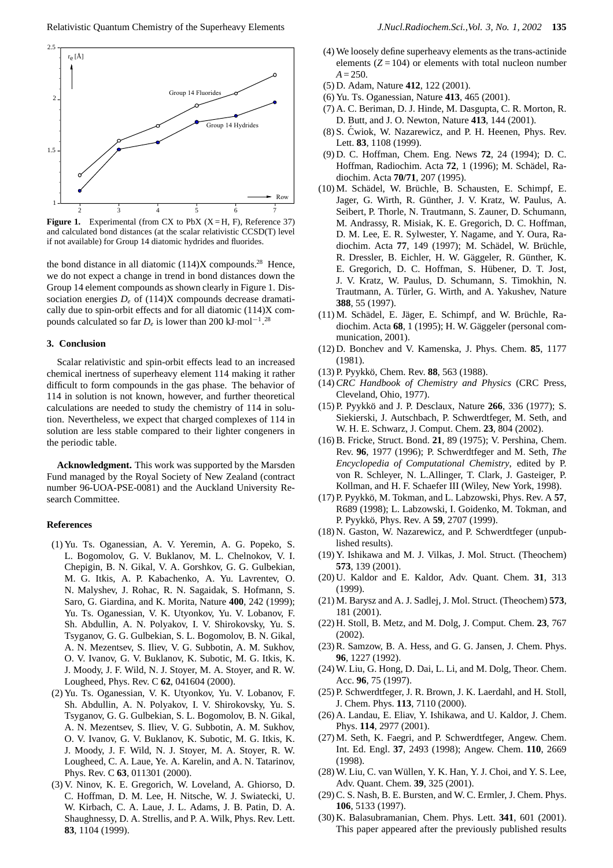

**Figure 1.** Experimental (from CX to PbX  $(X = H, F)$ , Reference 37) and calculated bond distances (at the scalar relativistic CCSD(T) level if not available) for Group 14 diatomic hydrides and fluorides.

the bond distance in all diatomic  $(114)X$  compounds.<sup>28</sup> Hence, we do not expect a change in trend in bond distances down the Group 14 element compounds as shown clearly in Figure 1. Dissociation energies  $D_e$  of (114)X compounds decrease dramatically due to spin-orbit effects and for all diatomic (114)X compounds calculated so far  $D_e$  is lower than 200 kJ·mol<sup>-1</sup>.<sup>28</sup>

### **3. Conclusion**

Scalar relativistic and spin-orbit effects lead to an increased chemical inertness of superheavy element 114 making it rather difficult to form compounds in the gas phase. The behavior of 114 in solution is not known, however, and further theoretical calculations are needed to study the chemistry of 114 in solution. Nevertheless, we expect that charged complexes of 114 in solution are less stable compared to their lighter congeners in the periodic table.

**Acknowledgment.** This work was supported by the Marsden Fund managed by the Royal Society of New Zealand (contract number 96-UOA-PSE-0081) and the Auckland University Research Committee.

## **References**

- (1) Yu. Ts. Oganessian, A. V. Yeremin, A. G. Popeko, S. L. Bogomolov, G. V. Buklanov, M. L. Chelnokov, V. I. Chepigin, B. N. Gikal, V. A. Gorshkov, G. G. Gulbekian, M. G. Itkis, A. P. Kabachenko, A. Yu. Lavrentev, O. N. Malyshev, J. Rohac, R. N. Sagaidak, S. Hofmann, S. Saro, G. Giardina, and K. Morita, Nature **400**, 242 (1999); Yu. Ts. Oganessian, V. K. Utyonkov, Yu. V. Lobanov, F. Sh. Abdullin, A. N. Polyakov, I. V. Shirokovsky, Yu. S. Tsyganov, G. G. Gulbekian, S. L. Bogomolov, B. N. Gikal, A. N. Mezentsev, S. Iliev, V. G. Subbotin, A. M. Sukhov, O. V. Ivanov, G. V. Buklanov, K. Subotic, M. G. Itkis, K. J. Moody, J. F. Wild, N. J. Stoyer, M. A. Stoyer, and R. W. Lougheed, Phys. Rev. C **62**, 041604 (2000).
- (2) Yu. Ts. Oganessian, V. K. Utyonkov, Yu. V. Lobanov, F. Sh. Abdullin, A. N. Polyakov, I. V. Shirokovsky, Yu. S. Tsyganov, G. G. Gulbekian, S. L. Bogomolov, B. N. Gikal, A. N. Mezentsev, S. Iliev, V. G. Subbotin, A. M. Sukhov, O. V. Ivanov, G. V. Buklanov, K. Subotic, M. G. Itkis, K. J. Moody, J. F. Wild, N. J. Stoyer, M. A. Stoyer, R. W. Lougheed, C. A. Laue, Ye. A. Karelin, and A. N. Tatarinov, Phys. Rev. C **63**, 011301 (2000).
- (3) V. Ninov, K. E. Gregorich, W. Loveland, A. Ghiorso, D. C. Hoffman, D. M. Lee, H. Nitsche, W. J. Swiatecki, U. W. Kirbach, C. A. Laue, J. L. Adams, J. B. Patin, D. A. Shaughnessy, D. A. Strellis, and P. A. Wilk, Phys. Rev. Lett. **83**, 1104 (1999).
- (4) We loosely define superheavy elements as the trans-actinide elements  $(Z = 104)$  or elements with total nucleon number  $A = 250.$
- (5) D. Adam, Nature **412**, 122 (2001).
- (6) Yu. Ts. Oganessian, Nature **413**, 465 (2001).
- (7) A. C. Beriman, D. J. Hinde, M. Dasgupta, C. R. Morton, R. D. Butt, and J. O. Newton, Nature **413**, 144 (2001).
- (8) S. Cwiok, W. Nazarewicz, and P. H. Heenen, Phys. Rev. ´ Lett. **83**, 1108 (1999).
- (9) D. C. Hoffman, Chem. Eng. News **72**, 24 (1994); D. C. Hoffman, Radiochim. Acta **72**, 1 (1996); M. Schadel, Ra- ¨ diochim. Acta **70/71**, 207 (1995).
- (10) M. Schädel, W. Brüchle, B. Schausten, E. Schimpf, E. Jager, G. Wirth, R. Günther, J. V. Kratz, W. Paulus, A. Seibert, P. Thorle, N. Trautmann, S. Zauner, D. Schumann, M. Andrassy, R. Misiak, K. E. Gregorich, D. C. Hoffman, D. M. Lee, E. R. Sylwester, Y. Nagame, and Y. Oura, Radiochim. Acta **77**, 149 (1997); M. Schädel, W. Brüchle, R. Dressler, B. Eichler, H. W. Gäggeler, R. Günther, K. E. Gregorich, D. C. Hoffman, S. Hübener, D. T. Jost, J. V. Kratz, W. Paulus, D. Schumann, S. Timokhin, N. Trautmann, A. Türler, G. Wirth, and A. Yakushev, Nature **388**, 55 (1997).
- (11) M. Schädel, E. Jäger, E. Schimpf, and W. Brüchle, Radiochim. Acta 68, 1 (1995); H. W. Gäggeler (personal communication, 2001).
- (12) D. Bonchev and V. Kamenska, J. Phys. Chem. **85**, 1177 (1981).
- (13) P. Pyykkö, Chem. Rev. **88**, 563 (1988).
- (14)*CRC Handbook of Chemistry and Physics* (CRC Press, Cleveland, Ohio, 1977).
- (15) P. Pyykko and J. P. Desclaux, Nature ¨ **266**, 336 (1977); S. Siekierski, J. Autschbach, P. Schwerdtfeger, M. Seth, and W. H. E. Schwarz, J. Comput. Chem. **23**, 804 (2002).
- (16) B. Fricke, Struct. Bond. **21**, 89 (1975); V. Pershina, Chem. Rev. **96**, 1977 (1996); P. Schwerdtfeger and M. Seth, *The Encyclopedia of Computational Chemistry*, edited by P. von R. Schleyer, N. L.Allinger, T. Clark, J. Gasteiger, P. Kollman, and H. F. Schaefer III (Wiley, New York, 1998).
- $(17)$  P. Pyykkö, M. Tokman, and L. Labzowski, Phys. Rev. A  $57$ , R689 (1998); L. Labzowski, I. Goidenko, M. Tokman, and P. Pyykkö, Phys. Rev. A **59**, 2707 (1999).
- (18) N. Gaston, W. Nazarewicz, and P. Schwerdtfeger (unpublished results).
- (19) Y. Ishikawa and M. J. Vilkas, J. Mol. Struct. (Theochem) **573**, 139 (2001).
- (20) U. Kaldor and E. Kaldor, Adv. Quant. Chem. **31**, 313 (1999).
- (21) M. Barysz and A. J. Sadlej, J. Mol. Struct. (Theochem) **573**, 181 (2001).
- (22) H. Stoll, B. Metz, and M. Dolg, J. Comput. Chem. **23**, 767 (2002).
- (23) R. Samzow, B. A. Hess, and G. G. Jansen, J. Chem. Phys. **96**, 1227 (1992).
- (24) W. Liu, G. Hong, D. Dai, L. Li, and M. Dolg, Theor. Chem. Acc. **96**, 75 (1997).
- (25) P. Schwerdtfeger, J. R. Brown, J. K. Laerdahl, and H. Stoll, J. Chem. Phys. **113**, 7110 (2000).
- (26) A. Landau, E. Eliav, Y. Ishikawa, and U. Kaldor, J. Chem. Phys. **114**, 2977 (2001).
- (27) M. Seth, K. Faegri, and P. Schwerdtfeger, Angew. Chem. Int. Ed. Engl. **37**, 2493 (1998); Angew. Chem. **110**, 2669 (1998).
- (28) W. Liu, C. van Wüllen, Y. K. Han, Y. J. Choi, and Y. S. Lee, Adv. Quant. Chem. **39**, 325 (2001).
- (29) C. S. Nash, B. E. Bursten, and W. C. Ermler, J. Chem. Phys. **106**, 5133 (1997).
- (30) K. Balasubramanian, Chem. Phys. Lett. **341**, 601 (2001). This paper appeared after the previously published results